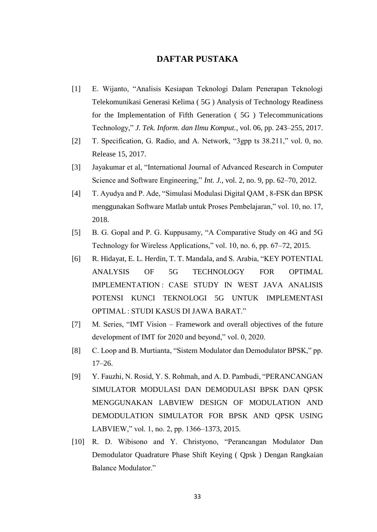## **DAFTAR PUSTAKA**

- [1] E. Wijanto, "Analisis Kesiapan Teknologi Dalam Penerapan Teknologi Telekomunikasi Generasi Kelima ( 5G ) Analysis of Technology Readiness for the Implementation of Fifth Generation ( 5G ) Telecommunications Technology," *J. Tek. Inform. dan Ilmu Komput.*, vol. 06, pp. 243–255, 2017.
- [2] T. Specification, G. Radio, and A. Network, "3gpp ts 38.211," vol. 0, no. Release 15, 2017.
- [3] Jayakumar et al, "International Journal of Advanced Research in Computer Science and Software Engineering," *Int. J.*, vol. 2, no. 9, pp. 62–70, 2012.
- [4] T. Ayudya and P. Ade, "Simulasi Modulasi Digital QAM , 8-FSK dan BPSK menggunakan Software Matlab untuk Proses Pembelajaran," vol. 10, no. 17, 2018.
- [5] B. G. Gopal and P. G. Kuppusamy, "A Comparative Study on 4G and 5G Technology for Wireless Applications," vol. 10, no. 6, pp. 67–72, 2015.
- [6] R. Hidayat, E. L. Herdin, T. T. Mandala, and S. Arabia, "KEY POTENTIAL ANALYSIS OF 5G TECHNOLOGY FOR OPTIMAL IMPLEMENTATION : CASE STUDY IN WEST JAVA ANALISIS POTENSI KUNCI TEKNOLOGI 5G UNTUK IMPLEMENTASI OPTIMAL : STUDI KASUS DI JAWA BARAT."
- [7] M. Series, "IMT Vision Framework and overall objectives of the future development of IMT for 2020 and beyond," vol. 0, 2020.
- [8] C. Loop and B. Murtianta, "Sistem Modulator dan Demodulator BPSK," pp. 17–26.
- [9] Y. Fauzhi, N. Rosid, Y. S. Rohmah, and A. D. Pambudi, "PERANCANGAN SIMULATOR MODULASI DAN DEMODULASI BPSK DAN QPSK MENGGUNAKAN LABVIEW DESIGN OF MODULATION AND DEMODULATION SIMULATOR FOR BPSK AND QPSK USING LABVIEW," vol. 1, no. 2, pp. 1366–1373, 2015.
- [10] R. D. Wibisono and Y. Christyono, "Perancangan Modulator Dan Demodulator Quadrature Phase Shift Keying ( Qpsk ) Dengan Rangkaian Balance Modulator."